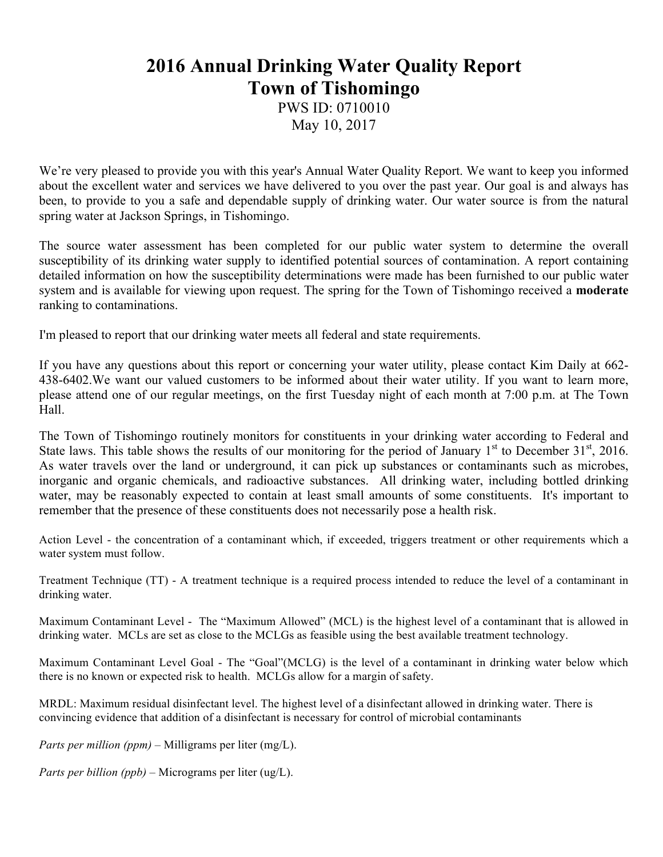## **2016 Annual Drinking Water Quality Report Town of Tishomingo**

PWS ID: 0710010 May 10, 2017

We're very pleased to provide you with this year's Annual Water Quality Report. We want to keep you informed about the excellent water and services we have delivered to you over the past year. Our goal is and always has been, to provide to you a safe and dependable supply of drinking water. Our water source is from the natural spring water at Jackson Springs, in Tishomingo.

The source water assessment has been completed for our public water system to determine the overall susceptibility of its drinking water supply to identified potential sources of contamination. A report containing detailed information on how the susceptibility determinations were made has been furnished to our public water system and is available for viewing upon request. The spring for the Town of Tishomingo received a **moderate** ranking to contaminations.

I'm pleased to report that our drinking water meets all federal and state requirements.

If you have any questions about this report or concerning your water utility, please contact Kim Daily at 662- 438-6402.We want our valued customers to be informed about their water utility. If you want to learn more, please attend one of our regular meetings, on the first Tuesday night of each month at 7:00 p.m. at The Town Hall.

The Town of Tishomingo routinely monitors for constituents in your drinking water according to Federal and State laws. This table shows the results of our monitoring for the period of January  $1<sup>st</sup>$  to December 31 $<sup>st</sup>$ , 2016.</sup> As water travels over the land or underground, it can pick up substances or contaminants such as microbes, inorganic and organic chemicals, and radioactive substances. All drinking water, including bottled drinking water, may be reasonably expected to contain at least small amounts of some constituents. It's important to remember that the presence of these constituents does not necessarily pose a health risk.

Action Level - the concentration of a contaminant which, if exceeded, triggers treatment or other requirements which a water system must follow.

Treatment Technique (TT) - A treatment technique is a required process intended to reduce the level of a contaminant in drinking water.

Maximum Contaminant Level - The "Maximum Allowed" (MCL) is the highest level of a contaminant that is allowed in drinking water. MCLs are set as close to the MCLGs as feasible using the best available treatment technology.

Maximum Contaminant Level Goal - The "Goal"(MCLG) is the level of a contaminant in drinking water below which there is no known or expected risk to health. MCLGs allow for a margin of safety.

MRDL: Maximum residual disinfectant level. The highest level of a disinfectant allowed in drinking water. There is convincing evidence that addition of a disinfectant is necessary for control of microbial contaminants

*Parts per million (ppm)* – Milligrams per liter (mg/L).

*Parts per billion (ppb)* – Micrograms per liter (ug/L).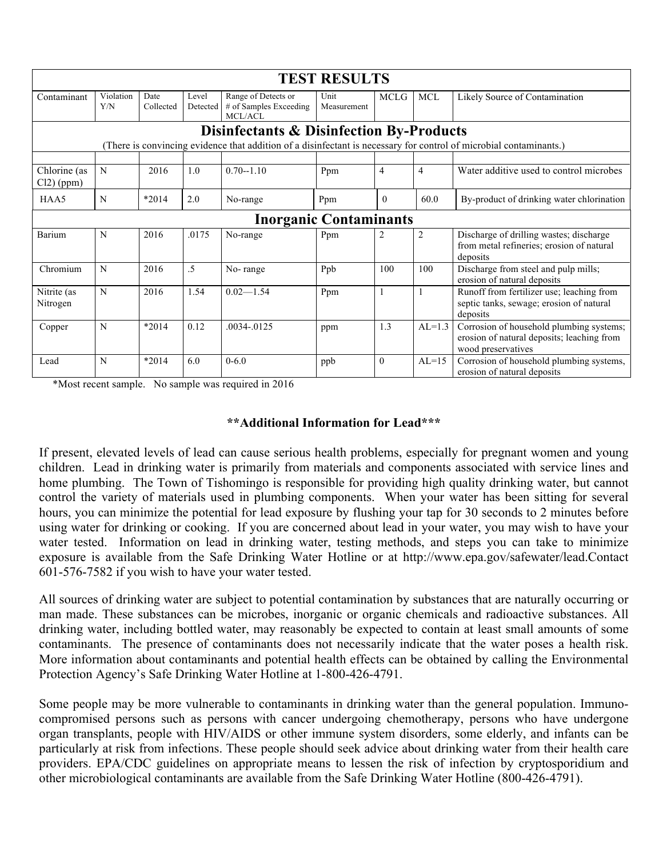| <b>TEST RESULTS</b>                                                                                                                                                       |                  |                   |                   |                                                          |                     |              |                |                                                                                                              |
|---------------------------------------------------------------------------------------------------------------------------------------------------------------------------|------------------|-------------------|-------------------|----------------------------------------------------------|---------------------|--------------|----------------|--------------------------------------------------------------------------------------------------------------|
| Contaminant                                                                                                                                                               | Violation<br>Y/N | Date<br>Collected | Level<br>Detected | Range of Detects or<br># of Samples Exceeding<br>MCL/ACL | Unit<br>Measurement | <b>MCLG</b>  | MCL            | Likely Source of Contamination                                                                               |
| <b>Disinfectants &amp; Disinfection By-Products</b><br>(There is convincing evidence that addition of a disinfectant is necessary for control of microbial contaminants.) |                  |                   |                   |                                                          |                     |              |                |                                                                                                              |
|                                                                                                                                                                           |                  |                   |                   |                                                          |                     |              |                |                                                                                                              |
| Chlorine (as<br>$Cl2$ ) (ppm)                                                                                                                                             | N                | 2016              | 1.0               | $0.70 - 1.10$                                            | Ppm                 | 4            | $\overline{4}$ | Water additive used to control microbes                                                                      |
| HAA5                                                                                                                                                                      | N                | $*2014$           | 2.0               | No-range                                                 | Ppm                 | $\theta$     | 60.0           | By-product of drinking water chlorination                                                                    |
| <b>Inorganic Contaminants</b>                                                                                                                                             |                  |                   |                   |                                                          |                     |              |                |                                                                                                              |
| Barium                                                                                                                                                                    | N                | 2016              | .0175             | No-range                                                 | Ppm                 | 2            | $\overline{2}$ | Discharge of drilling wastes; discharge<br>from metal refineries; erosion of natural<br>deposits             |
| Chromium                                                                                                                                                                  | N                | 2016              | .5                | No-range                                                 | Ppb                 | 100          | 100            | Discharge from steel and pulp mills;<br>erosion of natural deposits                                          |
| Nitrite (as<br>Nitrogen                                                                                                                                                   | N                | 2016              | 1.54              | $0.02 - 1.54$                                            | Ppm                 | $\mathbf{1}$ |                | Runoff from fertilizer use; leaching from<br>septic tanks, sewage; erosion of natural<br>deposits            |
| Copper                                                                                                                                                                    | N                | $*2014$           | 0.12              | .0034-.0125                                              | ppm                 | 1.3          | $AL=1.3$       | Corrosion of household plumbing systems;<br>erosion of natural deposits; leaching from<br>wood preservatives |
| Lead                                                                                                                                                                      | N                | $*2014$           | 6.0               | $0 - 6.0$                                                | ppb                 | $\theta$     | $AL=15$        | Corrosion of household plumbing systems,<br>erosion of natural deposits                                      |

\*Most recent sample. No sample was required in 2016

## **\*\*Additional Information for Lead\*\*\***

If present, elevated levels of lead can cause serious health problems, especially for pregnant women and young children. Lead in drinking water is primarily from materials and components associated with service lines and home plumbing. The Town of Tishomingo is responsible for providing high quality drinking water, but cannot control the variety of materials used in plumbing components. When your water has been sitting for several hours, you can minimize the potential for lead exposure by flushing your tap for 30 seconds to 2 minutes before using water for drinking or cooking. If you are concerned about lead in your water, you may wish to have your water tested. Information on lead in drinking water, testing methods, and steps you can take to minimize exposure is available from the Safe Drinking Water Hotline or at http://www.epa.gov/safewater/lead.Contact 601-576-7582 if you wish to have your water tested.

All sources of drinking water are subject to potential contamination by substances that are naturally occurring or man made. These substances can be microbes, inorganic or organic chemicals and radioactive substances. All drinking water, including bottled water, may reasonably be expected to contain at least small amounts of some contaminants. The presence of contaminants does not necessarily indicate that the water poses a health risk. More information about contaminants and potential health effects can be obtained by calling the Environmental Protection Agency's Safe Drinking Water Hotline at 1-800-426-4791.

Some people may be more vulnerable to contaminants in drinking water than the general population. Immunocompromised persons such as persons with cancer undergoing chemotherapy, persons who have undergone organ transplants, people with HIV/AIDS or other immune system disorders, some elderly, and infants can be particularly at risk from infections. These people should seek advice about drinking water from their health care providers. EPA/CDC guidelines on appropriate means to lessen the risk of infection by cryptosporidium and other microbiological contaminants are available from the Safe Drinking Water Hotline (800-426-4791).